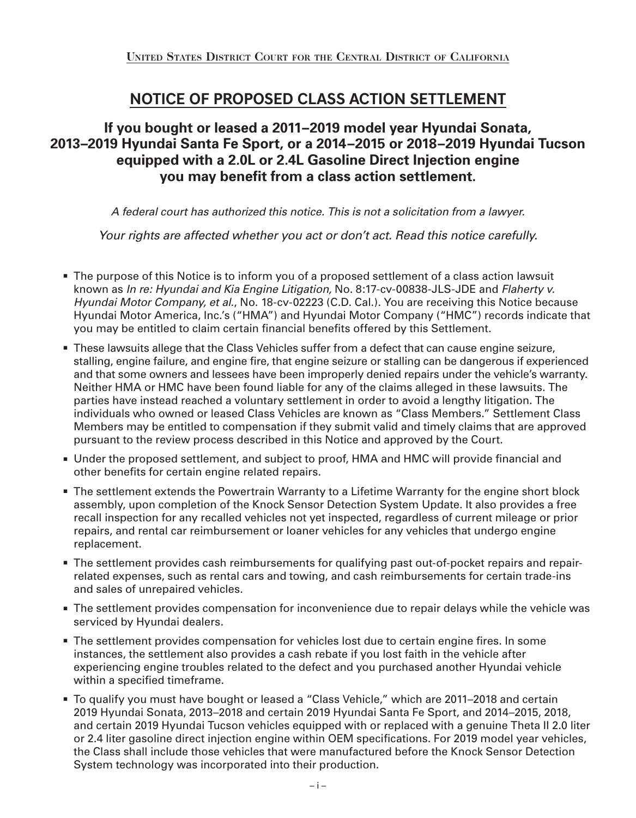# **NOTICE OF PROPOSED CLASS ACTION SETTLEMENT**

## **If you bought or leased a 2011–2019 model year Hyundai Sonata, 2013–2019 Hyundai Santa Fe Sport, or a 2014–2015 or 2018–2019 Hyundai Tucson equipped with a 2.0L or 2.4L Gasoline Direct Injection engine you may benefit from a class action settlement.**

*A federal court has authorized this notice. This is not a solicitation from a lawyer.*

*Your rights are affected whether you act or don't act. Read this notice carefully.*

- **The purpose of this Notice is to inform you of a proposed settlement of a class action lawsuit** known as *In re: Hyundai and Kia Engine Litigation,* No. 8:17-cv-00838-JLS-JDE and *Flaherty v. Hyundai Motor Company, et al.*, No. 18-cv-02223 (C.D. Cal.). You are receiving this Notice because Hyundai Motor America, Inc.'s ("HMA") and Hyundai Motor Company ("HMC") records indicate that you may be entitled to claim certain financial benefits offered by this Settlement.
- **These lawsuits allege that the Class Vehicles suffer from a defect that can cause engine seizure,** stalling, engine failure, and engine fire, that engine seizure or stalling can be dangerous if experienced and that some owners and lessees have been improperly denied repairs under the vehicle's warranty. Neither HMA or HMC have been found liable for any of the claims alleged in these lawsuits. The parties have instead reached a voluntary settlement in order to avoid a lengthy litigation. The individuals who owned or leased Class Vehicles are known as "Class Members." Settlement Class Members may be entitled to compensation if they submit valid and timely claims that are approved pursuant to the review process described in this Notice and approved by the Court.
- **JACCO.** Under the proposed settlement, and subject to proof, HMA and HMC will provide financial and other benefits for certain engine related repairs.
- **The settlement extends the Powertrain Warranty to a Lifetime Warranty for the engine short block** assembly, upon completion of the Knock Sensor Detection System Update. It also provides a free recall inspection for any recalled vehicles not yet inspected, regardless of current mileage or prior repairs, and rental car reimbursement or loaner vehicles for any vehicles that undergo engine replacement.
- **The settlement provides cash reimbursements for qualifying past out-of-pocket repairs and repair**related expenses, such as rental cars and towing, and cash reimbursements for certain trade-ins and sales of unrepaired vehicles.
- **The settlement provides compensation for inconvenience due to repair delays while the vehicle was** serviced by Hyundai dealers.
- **The settlement provides compensation for vehicles lost due to certain engine fires. In some** instances, the settlement also provides a cash rebate if you lost faith in the vehicle after experiencing engine troubles related to the defect and you purchased another Hyundai vehicle within a specified timeframe.
- To qualify you must have bought or leased a "Class Vehicle," which are 2011–2018 and certain 2019 Hyundai Sonata, 2013–2018 and certain 2019 Hyundai Santa Fe Sport, and 2014–2015, 2018, and certain 2019 Hyundai Tucson vehicles equipped with or replaced with a genuine Theta II 2.0 liter or 2.4 liter gasoline direct injection engine within OEM specifications. For 2019 model year vehicles, the Class shall include those vehicles that were manufactured before the Knock Sensor Detection System technology was incorporated into their production.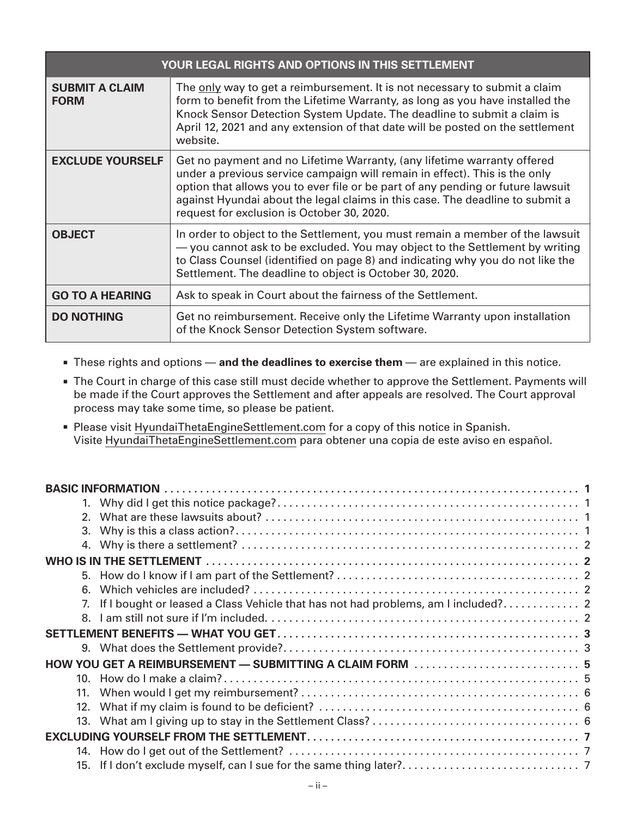| YOUR LEGAL RIGHTS AND OPTIONS IN THIS SETTLEMENT |                                                                                                                                                                                                                                                                                                                                                                         |  |  |
|--------------------------------------------------|-------------------------------------------------------------------------------------------------------------------------------------------------------------------------------------------------------------------------------------------------------------------------------------------------------------------------------------------------------------------------|--|--|
| <b>SUBMIT A CLAIM</b><br><b>FORM</b>             | The only way to get a reimbursement. It is not necessary to submit a claim<br>form to benefit from the Lifetime Warranty, as long as you have installed the<br>Knock Sensor Detection System Update. The deadline to submit a claim is<br>April 12, 2021 and any extension of that date will be posted on the settlement<br>website.                                    |  |  |
| <b>EXCLUDE YOURSELF</b>                          | Get no payment and no Lifetime Warranty, (any lifetime warranty offered<br>under a previous service campaign will remain in effect). This is the only<br>option that allows you to ever file or be part of any pending or future lawsuit<br>against Hyundai about the legal claims in this case. The deadline to submit a<br>request for exclusion is October 30, 2020. |  |  |
| <b>OBJECT</b>                                    | In order to object to the Settlement, you must remain a member of the lawsuit<br>- you cannot ask to be excluded. You may object to the Settlement by writing<br>to Class Counsel (identified on page 8) and indicating why you do not like the<br>Settlement. The deadline to object is October 30, 2020.                                                              |  |  |
| <b>GO TO A HEARING</b>                           | Ask to speak in Court about the fairness of the Settlement.                                                                                                                                                                                                                                                                                                             |  |  |
| <b>DO NOTHING</b>                                | Get no reimbursement. Receive only the Lifetime Warranty upon installation<br>of the Knock Sensor Detection System software.                                                                                                                                                                                                                                            |  |  |

- <sup>n</sup> These rights and options **and the deadlines to exercise them** are explained in this notice.
- **The Court in charge of this case still must decide whether to approve the Settlement. Payments will** be made if the Court approves the Settlement and after appeals are resolved. The Court approval process may take some time, so please be patient.
- <sup>n</sup> Please visit HyundaiThetaEngineSettlement.com for a copy of this notice in Spanish. Visite HyundaiThetaEngineSettlement.com para obtener una copia de este aviso en español.

| 3.                                                       |  |  |  |  |
|----------------------------------------------------------|--|--|--|--|
| 4.                                                       |  |  |  |  |
|                                                          |  |  |  |  |
|                                                          |  |  |  |  |
| 6.                                                       |  |  |  |  |
|                                                          |  |  |  |  |
|                                                          |  |  |  |  |
|                                                          |  |  |  |  |
|                                                          |  |  |  |  |
| HOW YOU GET A REIMBURSEMENT — SUBMITTING A CLAIM FORM  5 |  |  |  |  |
| 10 <sub>1</sub>                                          |  |  |  |  |
|                                                          |  |  |  |  |
| 12.                                                      |  |  |  |  |
|                                                          |  |  |  |  |
|                                                          |  |  |  |  |
|                                                          |  |  |  |  |
| 15.                                                      |  |  |  |  |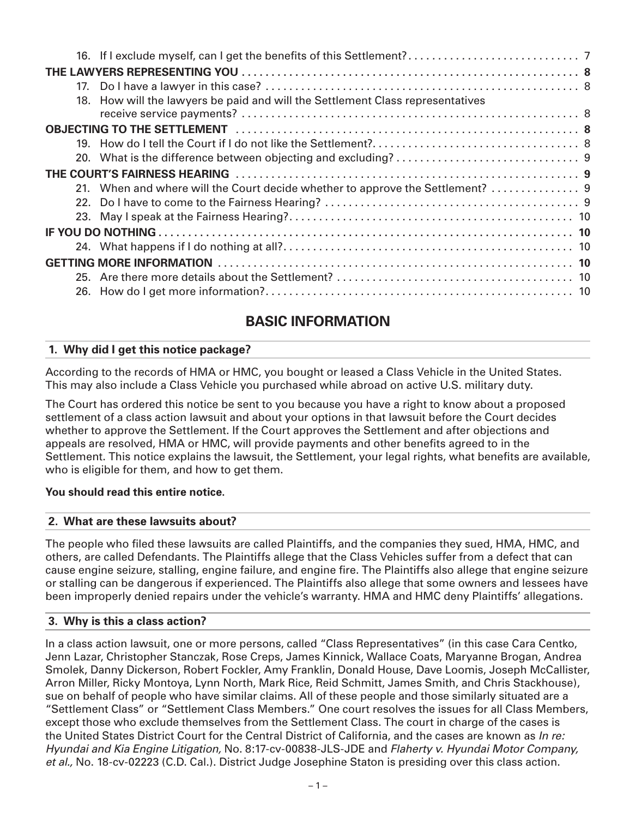|  | 18. How will the lawyers be paid and will the Settlement Class representatives |  |  |  |
|--|--------------------------------------------------------------------------------|--|--|--|
|  |                                                                                |  |  |  |
|  |                                                                                |  |  |  |
|  |                                                                                |  |  |  |
|  |                                                                                |  |  |  |
|  |                                                                                |  |  |  |
|  |                                                                                |  |  |  |
|  |                                                                                |  |  |  |
|  |                                                                                |  |  |  |
|  |                                                                                |  |  |  |
|  |                                                                                |  |  |  |
|  |                                                                                |  |  |  |
|  |                                                                                |  |  |  |
|  |                                                                                |  |  |  |

# **BASIC INFORMATION**

## **1. Why did I get this notice package?**

According to the records of HMA or HMC, you bought or leased a Class Vehicle in the United States. This may also include a Class Vehicle you purchased while abroad on active U.S. military duty.

The Court has ordered this notice be sent to you because you have a right to know about a proposed settlement of a class action lawsuit and about your options in that lawsuit before the Court decides whether to approve the Settlement. If the Court approves the Settlement and after objections and appeals are resolved, HMA or HMC, will provide payments and other benefits agreed to in the Settlement. This notice explains the lawsuit, the Settlement, your legal rights, what benefits are available, who is eligible for them, and how to get them.

## **You should read this entire notice.**

#### **2. What are these lawsuits about?**

The people who filed these lawsuits are called Plaintiffs, and the companies they sued, HMA, HMC, and others, are called Defendants. The Plaintiffs allege that the Class Vehicles suffer from a defect that can cause engine seizure, stalling, engine failure, and engine fire. The Plaintiffs also allege that engine seizure or stalling can be dangerous if experienced. The Plaintiffs also allege that some owners and lessees have been improperly denied repairs under the vehicle's warranty. HMA and HMC deny Plaintiffs' allegations.

#### **3. Why is this a class action?**

In a class action lawsuit, one or more persons, called "Class Representatives" (in this case Cara Centko, Jenn Lazar, Christopher Stanczak, Rose Creps, James Kinnick, Wallace Coats, Maryanne Brogan, Andrea Smolek, Danny Dickerson, Robert Fockler, Amy Franklin, Donald House, Dave Loomis, Joseph McCallister, Arron Miller, Ricky Montoya, Lynn North, Mark Rice, Reid Schmitt, James Smith, and Chris Stackhouse), sue on behalf of people who have similar claims. All of these people and those similarly situated are a "Settlement Class" or "Settlement Class Members." One court resolves the issues for all Class Members, except those who exclude themselves from the Settlement Class. The court in charge of the cases is the United States District Court for the Central District of California, and the cases are known as *In re: Hyundai and Kia Engine Litigation,* No. 8:17-cv-00838-JLS-JDE and *Flaherty v. Hyundai Motor Company, et al.,* No. 18-cv-02223 (C.D. Cal.). District Judge Josephine Staton is presiding over this class action.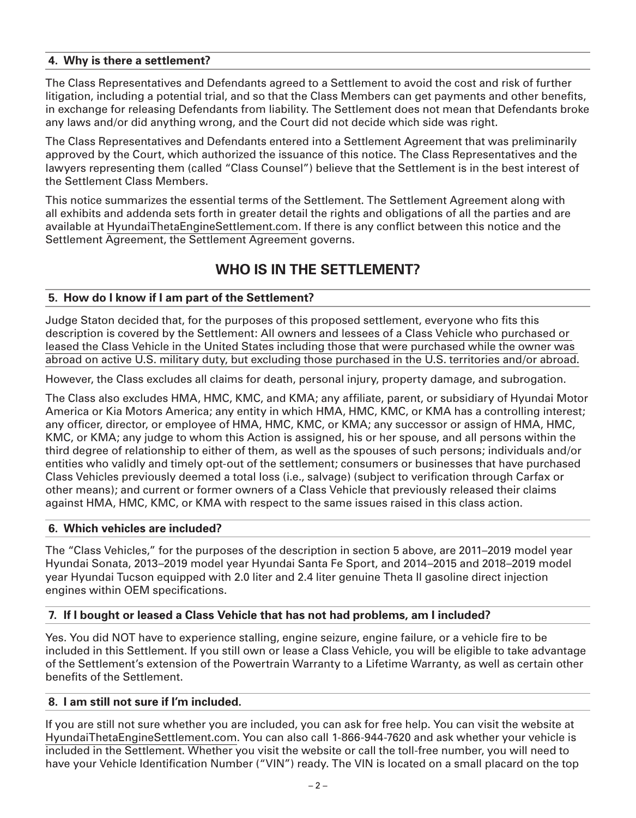#### **4. Why is there a settlement?**

The Class Representatives and Defendants agreed to a Settlement to avoid the cost and risk of further litigation, including a potential trial, and so that the Class Members can get payments and other benefits, in exchange for releasing Defendants from liability. The Settlement does not mean that Defendants broke any laws and/or did anything wrong, and the Court did not decide which side was right.

The Class Representatives and Defendants entered into a Settlement Agreement that was preliminarily approved by the Court, which authorized the issuance of this notice. The Class Representatives and the lawyers representing them (called "Class Counsel") believe that the Settlement is in the best interest of the Settlement Class Members.

This notice summarizes the essential terms of the Settlement. The Settlement Agreement along with all exhibits and addenda sets forth in greater detail the rights and obligations of all the parties and are available at HyundaiThetaEngineSettlement.com. If there is any conflict between this notice and the Settlement Agreement, the Settlement Agreement governs.

## **WHO IS IN THE SETTLEMENT?**

#### **5. How do I know if I am part of the Settlement?**

Judge Staton decided that, for the purposes of this proposed settlement, everyone who fits this description is covered by the Settlement: All owners and lessees of a Class Vehicle who purchased or leased the Class Vehicle in the United States including those that were purchased while the owner was abroad on active U.S. military duty, but excluding those purchased in the U.S. territories and/or abroad.

However, the Class excludes all claims for death, personal injury, property damage, and subrogation.

The Class also excludes HMA, HMC, KMC, and KMA; any affiliate, parent, or subsidiary of Hyundai Motor America or Kia Motors America; any entity in which HMA, HMC, KMC, or KMA has a controlling interest; any officer, director, or employee of HMA, HMC, KMC, or KMA; any successor or assign of HMA, HMC, KMC, or KMA; any judge to whom this Action is assigned, his or her spouse, and all persons within the third degree of relationship to either of them, as well as the spouses of such persons; individuals and/or entities who validly and timely opt-out of the settlement; consumers or businesses that have purchased Class Vehicles previously deemed a total loss (i.e., salvage) (subject to verification through Carfax or other means); and current or former owners of a Class Vehicle that previously released their claims against HMA, HMC, KMC, or KMA with respect to the same issues raised in this class action.

#### **6. Which vehicles are included?**

The "Class Vehicles," for the purposes of the description in section 5 above, are 2011–2019 model year Hyundai Sonata, 2013–2019 model year Hyundai Santa Fe Sport, and 2014–2015 and 2018–2019 model year Hyundai Tucson equipped with 2.0 liter and 2.4 liter genuine Theta II gasoline direct injection engines within OEM specifications.

#### **7. If I bought or leased a Class Vehicle that has not had problems, am I included?**

Yes. You did NOT have to experience stalling, engine seizure, engine failure, or a vehicle fire to be included in this Settlement. If you still own or lease a Class Vehicle, you will be eligible to take advantage of the Settlement's extension of the Powertrain Warranty to a Lifetime Warranty, as well as certain other benefits of the Settlement.

#### **8. I am still not sure if I'm included.**

If you are still not sure whether you are included, you can ask for free help. You can visit the website at HyundaiThetaEngineSettlement.com. You can also call 1-866-944-7620 and ask whether your vehicle is included in the Settlement. Whether you visit the website or call the toll-free number, you will need to have your Vehicle Identification Number ("VIN") ready. The VIN is located on a small placard on the top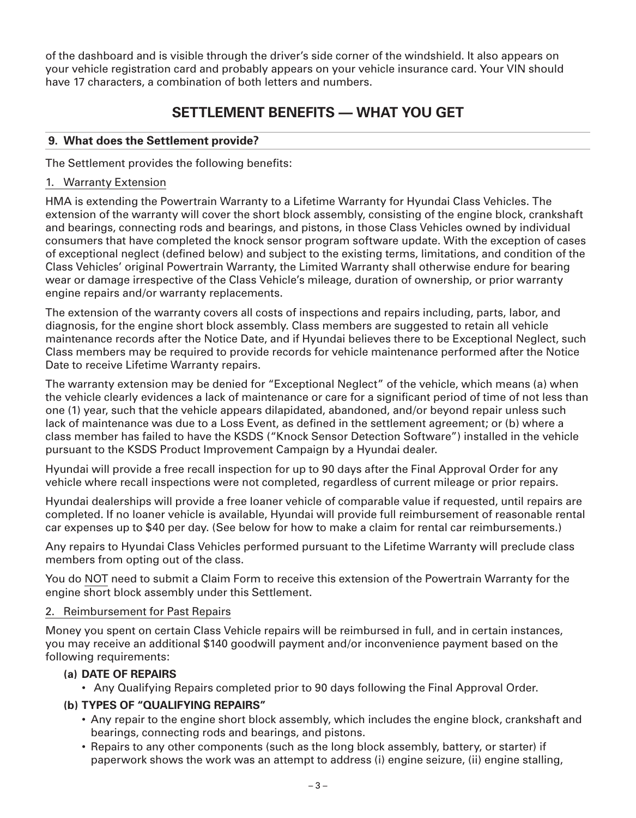of the dashboard and is visible through the driver's side corner of the windshield. It also appears on your vehicle registration card and probably appears on your vehicle insurance card. Your VIN should have 17 characters, a combination of both letters and numbers.

## **SETTLEMENT BENEFITS — WHAT YOU GET**

#### **9. What does the Settlement provide?**

The Settlement provides the following benefits:

#### 1. Warranty Extension

HMA is extending the Powertrain Warranty to a Lifetime Warranty for Hyundai Class Vehicles. The extension of the warranty will cover the short block assembly, consisting of the engine block, crankshaft and bearings, connecting rods and bearings, and pistons, in those Class Vehicles owned by individual consumers that have completed the knock sensor program software update. With the exception of cases of exceptional neglect (defined below) and subject to the existing terms, limitations, and condition of the Class Vehicles' original Powertrain Warranty, the Limited Warranty shall otherwise endure for bearing wear or damage irrespective of the Class Vehicle's mileage, duration of ownership, or prior warranty engine repairs and/or warranty replacements.

The extension of the warranty covers all costs of inspections and repairs including, parts, labor, and diagnosis, for the engine short block assembly. Class members are suggested to retain all vehicle maintenance records after the Notice Date, and if Hyundai believes there to be Exceptional Neglect, such Class members may be required to provide records for vehicle maintenance performed after the Notice Date to receive Lifetime Warranty repairs.

The warranty extension may be denied for "Exceptional Neglect" of the vehicle, which means (a) when the vehicle clearly evidences a lack of maintenance or care for a significant period of time of not less than one (1) year, such that the vehicle appears dilapidated, abandoned, and/or beyond repair unless such lack of maintenance was due to a Loss Event, as defined in the settlement agreement; or (b) where a class member has failed to have the KSDS ("Knock Sensor Detection Software") installed in the vehicle pursuant to the KSDS Product Improvement Campaign by a Hyundai dealer.

Hyundai will provide a free recall inspection for up to 90 days after the Final Approval Order for any vehicle where recall inspections were not completed, regardless of current mileage or prior repairs.

Hyundai dealerships will provide a free loaner vehicle of comparable value if requested, until repairs are completed. If no loaner vehicle is available, Hyundai will provide full reimbursement of reasonable rental car expenses up to \$40 per day. (See below for how to make a claim for rental car reimbursements.)

Any repairs to Hyundai Class Vehicles performed pursuant to the Lifetime Warranty will preclude class members from opting out of the class.

You do NOT need to submit a Claim Form to receive this extension of the Powertrain Warranty for the engine short block assembly under this Settlement.

#### 2. Reimbursement for Past Repairs

Money you spent on certain Class Vehicle repairs will be reimbursed in full, and in certain instances, you may receive an additional \$140 goodwill payment and/or inconvenience payment based on the following requirements:

#### **(a) DATE OF REPAIRS**

• Any Qualifying Repairs completed prior to 90 days following the Final Approval Order.

#### **(b) TYPES OF "QUALIFYING REPAIRS"**

- Any repair to the engine short block assembly, which includes the engine block, crankshaft and bearings, connecting rods and bearings, and pistons.
- Repairs to any other components (such as the long block assembly, battery, or starter) if paperwork shows the work was an attempt to address (i) engine seizure, (ii) engine stalling,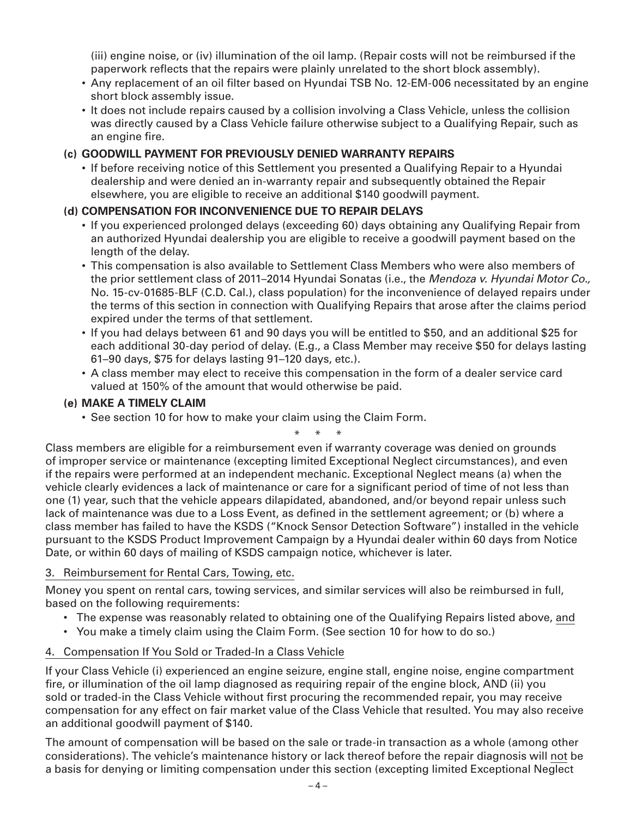(iii) engine noise, or (iv) illumination of the oil lamp. (Repair costs will not be reimbursed if the paperwork reflects that the repairs were plainly unrelated to the short block assembly).

- Any replacement of an oil filter based on Hyundai TSB No. 12-EM-006 necessitated by an engine short block assembly issue.
- It does not include repairs caused by a collision involving a Class Vehicle, unless the collision was directly caused by a Class Vehicle failure otherwise subject to a Qualifying Repair, such as an engine fire.

## **(c) GOODWILL PAYMENT FOR PREVIOUSLY DENIED WARRANTY REPAIRS**

 • If before receiving notice of this Settlement you presented a Qualifying Repair to a Hyundai dealership and were denied an in-warranty repair and subsequently obtained the Repair elsewhere, you are eligible to receive an additional \$140 goodwill payment.

## **(d) COMPENSATION FOR INCONVENIENCE DUE TO REPAIR DELAYS**

- If you experienced prolonged delays (exceeding 60) days obtaining any Qualifying Repair from an authorized Hyundai dealership you are eligible to receive a goodwill payment based on the length of the delay.
- This compensation is also available to Settlement Class Members who were also members of the prior settlement class of 2011–2014 Hyundai Sonatas (i.e., the *Mendoza v. Hyundai Motor Co.,*  No. 15-cv-01685-BLF (C.D. Cal.), class population) for the inconvenience of delayed repairs under the terms of this section in connection with Qualifying Repairs that arose after the claims period expired under the terms of that settlement.
- If you had delays between 61 and 90 days you will be entitled to \$50, and an additional \$25 for each additional 30-day period of delay. (E.g., a Class Member may receive \$50 for delays lasting 61–90 days, \$75 for delays lasting 91–120 days, etc.).
- A class member may elect to receive this compensation in the form of a dealer service card valued at 150% of the amount that would otherwise be paid.

## **(e) MAKE A TIMELY CLAIM**

• See section 10 for how to make your claim using the Claim Form.

\* \* \* Class members are eligible for a reimbursement even if warranty coverage was denied on grounds of improper service or maintenance (excepting limited Exceptional Neglect circumstances), and even if the repairs were performed at an independent mechanic. Exceptional Neglect means (a) when the vehicle clearly evidences a lack of maintenance or care for a significant period of time of not less than one (1) year, such that the vehicle appears dilapidated, abandoned, and/or beyond repair unless such lack of maintenance was due to a Loss Event, as defined in the settlement agreement; or (b) where a class member has failed to have the KSDS ("Knock Sensor Detection Software") installed in the vehicle pursuant to the KSDS Product Improvement Campaign by a Hyundai dealer within 60 days from Notice Date, or within 60 days of mailing of KSDS campaign notice, whichever is later.

## 3. Reimbursement for Rental Cars, Towing, etc.

Money you spent on rental cars, towing services, and similar services will also be reimbursed in full, based on the following requirements:

- The expense was reasonably related to obtaining one of the Qualifying Repairs listed above, and
- You make a timely claim using the Claim Form. (See section 10 for how to do so.)

## 4. Compensation If You Sold or Traded-In a Class Vehicle

If your Class Vehicle (i) experienced an engine seizure, engine stall, engine noise, engine compartment fire, or illumination of the oil lamp diagnosed as requiring repair of the engine block, AND (ii) you sold or traded-in the Class Vehicle without first procuring the recommended repair, you may receive compensation for any effect on fair market value of the Class Vehicle that resulted. You may also receive an additional goodwill payment of \$140.

The amount of compensation will be based on the sale or trade-in transaction as a whole (among other considerations). The vehicle's maintenance history or lack thereof before the repair diagnosis will not be a basis for denying or limiting compensation under this section (excepting limited Exceptional Neglect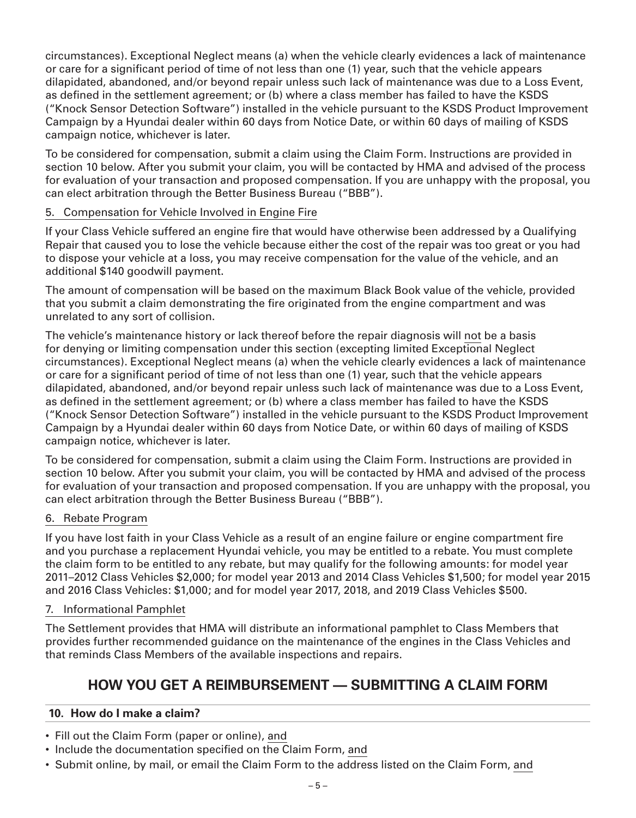circumstances). Exceptional Neglect means (a) when the vehicle clearly evidences a lack of maintenance or care for a significant period of time of not less than one (1) year, such that the vehicle appears dilapidated, abandoned, and/or beyond repair unless such lack of maintenance was due to a Loss Event, as defined in the settlement agreement; or (b) where a class member has failed to have the KSDS ("Knock Sensor Detection Software") installed in the vehicle pursuant to the KSDS Product Improvement Campaign by a Hyundai dealer within 60 days from Notice Date, or within 60 days of mailing of KSDS campaign notice, whichever is later.

To be considered for compensation, submit a claim using the Claim Form. Instructions are provided in section 10 below. After you submit your claim, you will be contacted by HMA and advised of the process for evaluation of your transaction and proposed compensation. If you are unhappy with the proposal, you can elect arbitration through the Better Business Bureau ("BBB").

### 5. Compensation for Vehicle Involved in Engine Fire

If your Class Vehicle suffered an engine fire that would have otherwise been addressed by a Qualifying Repair that caused you to lose the vehicle because either the cost of the repair was too great or you had to dispose your vehicle at a loss, you may receive compensation for the value of the vehicle, and an additional \$140 goodwill payment.

The amount of compensation will be based on the maximum Black Book value of the vehicle, provided that you submit a claim demonstrating the fire originated from the engine compartment and was unrelated to any sort of collision.

The vehicle's maintenance history or lack thereof before the repair diagnosis will not be a basis for denying or limiting compensation under this section (excepting limited Exceptional Neglect circumstances). Exceptional Neglect means (a) when the vehicle clearly evidences a lack of maintenance or care for a significant period of time of not less than one (1) year, such that the vehicle appears dilapidated, abandoned, and/or beyond repair unless such lack of maintenance was due to a Loss Event, as defined in the settlement agreement; or (b) where a class member has failed to have the KSDS ("Knock Sensor Detection Software") installed in the vehicle pursuant to the KSDS Product Improvement Campaign by a Hyundai dealer within 60 days from Notice Date, or within 60 days of mailing of KSDS campaign notice, whichever is later.

To be considered for compensation, submit a claim using the Claim Form. Instructions are provided in section 10 below. After you submit your claim, you will be contacted by HMA and advised of the process for evaluation of your transaction and proposed compensation. If you are unhappy with the proposal, you can elect arbitration through the Better Business Bureau ("BBB").

#### 6. Rebate Program

If you have lost faith in your Class Vehicle as a result of an engine failure or engine compartment fire and you purchase a replacement Hyundai vehicle, you may be entitled to a rebate. You must complete the claim form to be entitled to any rebate, but may qualify for the following amounts: for model year 2011–2012 Class Vehicles \$2,000; for model year 2013 and 2014 Class Vehicles \$1,500; for model year 2015 and 2016 Class Vehicles: \$1,000; and for model year 2017, 2018, and 2019 Class Vehicles \$500.

#### 7. Informational Pamphlet

The Settlement provides that HMA will distribute an informational pamphlet to Class Members that provides further recommended guidance on the maintenance of the engines in the Class Vehicles and that reminds Class Members of the available inspections and repairs.

# **HOW YOU GET A REIMBURSEMENT — SUBMITTING A CLAIM FORM**

## **10. How do I make a claim?**

- Fill out the Claim Form (paper or online), and
- Include the documentation specified on the Claim Form, and
- Submit online, by mail, or email the Claim Form to the address listed on the Claim Form, and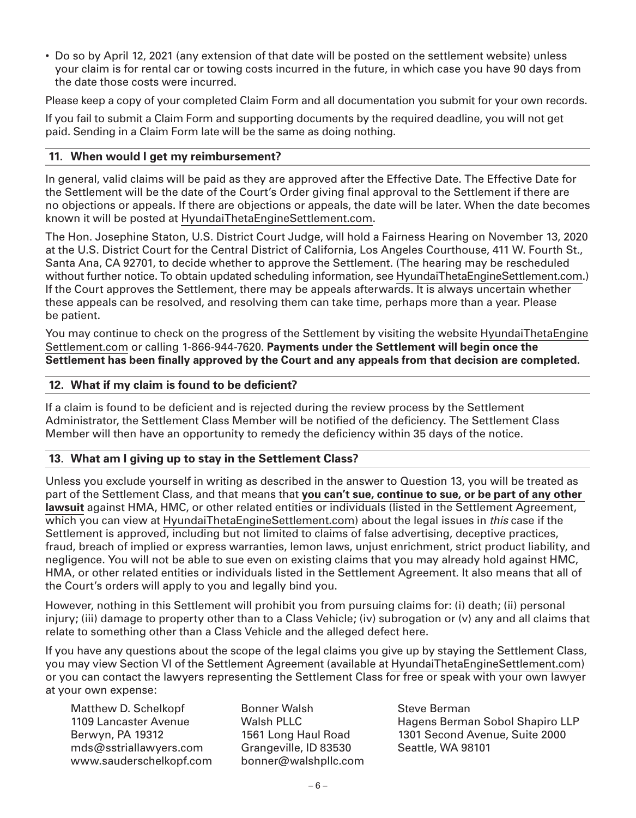• Do so by April 12, 2021 (any extension of that date will be posted on the settlement website) unless your claim is for rental car or towing costs incurred in the future, in which case you have 90 days from the date those costs were incurred.

Please keep a copy of your completed Claim Form and all documentation you submit for your own records.

If you fail to submit a Claim Form and supporting documents by the required deadline, you will not get paid. Sending in a Claim Form late will be the same as doing nothing.

#### **11. When would I get my reimbursement?**

In general, valid claims will be paid as they are approved after the Effective Date. The Effective Date for the Settlement will be the date of the Court's Order giving final approval to the Settlement if there are no objections or appeals. If there are objections or appeals, the date will be later. When the date becomes known it will be posted at HyundaiThetaEngineSettlement.com.

The Hon. Josephine Staton, U.S. District Court Judge, will hold a Fairness Hearing on November 13, 2020 at the U.S. District Court for the Central District of California, Los Angeles Courthouse, 411 W. Fourth St., Santa Ana, CA 92701, to decide whether to approve the Settlement. (The hearing may be rescheduled without further notice. To obtain updated scheduling information, see HyundaiThetaEngineSettlement.com.) If the Court approves the Settlement, there may be appeals afterwards. It is always uncertain whether these appeals can be resolved, and resolving them can take time, perhaps more than a year. Please be patient.

You may continue to check on the progress of the Settlement by visiting the website HyundaiThetaEngine Settlement.com or calling 1-866-944-7620. **Payments under the Settlement will begin once the Settlement has been finally approved by the Court and any appeals from that decision are completed.**

#### **12. What if my claim is found to be deficient?**

If a claim is found to be deficient and is rejected during the review process by the Settlement Administrator, the Settlement Class Member will be notified of the deficiency. The Settlement Class Member will then have an opportunity to remedy the deficiency within 35 days of the notice.

#### **13. What am I giving up to stay in the Settlement Class?**

Unless you exclude yourself in writing as described in the answer to Question 13, you will be treated as part of the Settlement Class, and that means that **you can't sue, continue to sue, or be part of any other lawsuit** against HMA, HMC, or other related entities or individuals (listed in the Settlement Agreement, which you can view at HyundaiThetaEngineSettlement.com) about the legal issues in *this* case if the Settlement is approved, including but not limited to claims of false advertising, deceptive practices, fraud, breach of implied or express warranties, lemon laws, unjust enrichment, strict product liability, and negligence. You will not be able to sue even on existing claims that you may already hold against HMC, HMA, or other related entities or individuals listed in the Settlement Agreement. It also means that all of the Court's orders will apply to you and legally bind you.

However, nothing in this Settlement will prohibit you from pursuing claims for: (i) death; (ii) personal injury; (iii) damage to property other than to a Class Vehicle; (iv) subrogation or (v) any and all claims that relate to something other than a Class Vehicle and the alleged defect here.

If you have any questions about the scope of the legal claims you give up by staying the Settlement Class, you may view Section VI of the Settlement Agreement (available at HyundaiThetaEngineSettlement.com) or you can contact the lawyers representing the Settlement Class for free or speak with your own lawyer at your own expense:

Matthew D. Schelkopf 1109 Lancaster Avenue Berwyn, PA 19312 mds@sstriallawyers.com www.sauderschelkopf.com Bonner Walsh Walsh PLLC 1561 Long Haul Road Grangeville, ID 83530 bonner@walshpllc.com Steve Berman Hagens Berman Sobol Shapiro LLP 1301 Second Avenue, Suite 2000 Seattle, WA 98101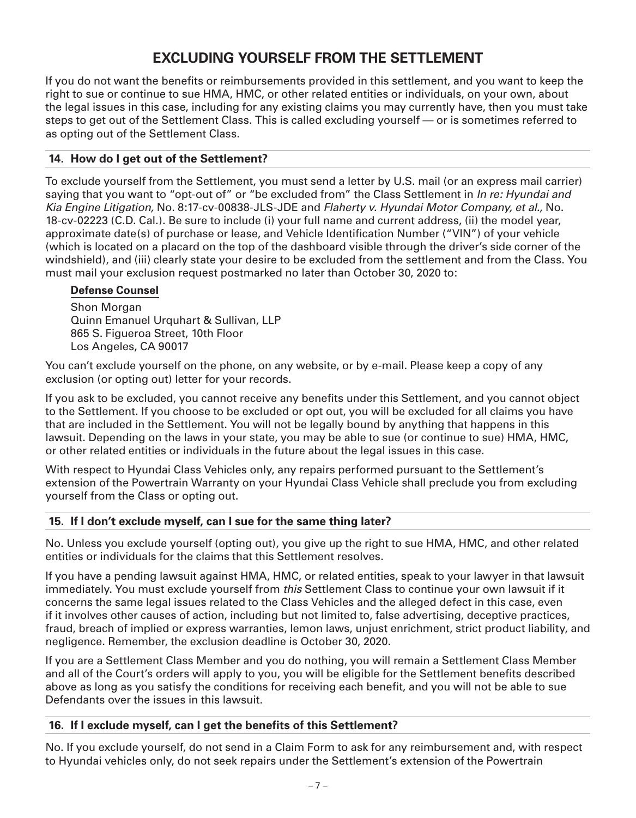# **EXCLUDING YOURSELF FROM THE SETTLEMENT**

If you do not want the benefits or reimbursements provided in this settlement, and you want to keep the right to sue or continue to sue HMA, HMC, or other related entities or individuals, on your own, about the legal issues in this case, including for any existing claims you may currently have, then you must take steps to get out of the Settlement Class. This is called excluding yourself — or is sometimes referred to as opting out of the Settlement Class.

## **14. How do I get out of the Settlement?**

To exclude yourself from the Settlement, you must send a letter by U.S. mail (or an express mail carrier) saying that you want to "opt-out of" or "be excluded from" the Class Settlement in *In re: Hyundai and Kia Engine Litigation,* No. 8:17-cv-00838-JLS-JDE and *Flaherty v. Hyundai Motor Company, et al.,* No. 18-cv-02223 (C.D. Cal.). Be sure to include (i) your full name and current address, (ii) the model year, approximate date(s) of purchase or lease, and Vehicle Identification Number ("VIN") of your vehicle (which is located on a placard on the top of the dashboard visible through the driver's side corner of the windshield), and (iii) clearly state your desire to be excluded from the settlement and from the Class. You must mail your exclusion request postmarked no later than October 30, 2020 to:

## **Defense Counsel**

Shon Morgan Quinn Emanuel Urquhart & Sullivan, LLP 865 S. Figueroa Street, 10th Floor Los Angeles, CA 90017

You can't exclude yourself on the phone, on any website, or by e-mail. Please keep a copy of any exclusion (or opting out) letter for your records.

If you ask to be excluded, you cannot receive any benefits under this Settlement, and you cannot object to the Settlement. If you choose to be excluded or opt out, you will be excluded for all claims you have that are included in the Settlement. You will not be legally bound by anything that happens in this lawsuit. Depending on the laws in your state, you may be able to sue (or continue to sue) HMA, HMC, or other related entities or individuals in the future about the legal issues in this case.

With respect to Hyundai Class Vehicles only, any repairs performed pursuant to the Settlement's extension of the Powertrain Warranty on your Hyundai Class Vehicle shall preclude you from excluding yourself from the Class or opting out.

## **15. If I don't exclude myself, can I sue for the same thing later?**

No. Unless you exclude yourself (opting out), you give up the right to sue HMA, HMC, and other related entities or individuals for the claims that this Settlement resolves.

If you have a pending lawsuit against HMA, HMC, or related entities, speak to your lawyer in that lawsuit immediately. You must exclude yourself from *this* Settlement Class to continue your own lawsuit if it concerns the same legal issues related to the Class Vehicles and the alleged defect in this case, even if it involves other causes of action, including but not limited to, false advertising, deceptive practices, fraud, breach of implied or express warranties, lemon laws, unjust enrichment, strict product liability, and negligence. Remember, the exclusion deadline is October 30, 2020.

If you are a Settlement Class Member and you do nothing, you will remain a Settlement Class Member and all of the Court's orders will apply to you, you will be eligible for the Settlement benefits described above as long as you satisfy the conditions for receiving each benefit, and you will not be able to sue Defendants over the issues in this lawsuit.

## **16. If I exclude myself, can I get the benefits of this Settlement?**

No. If you exclude yourself, do not send in a Claim Form to ask for any reimbursement and, with respect to Hyundai vehicles only, do not seek repairs under the Settlement's extension of the Powertrain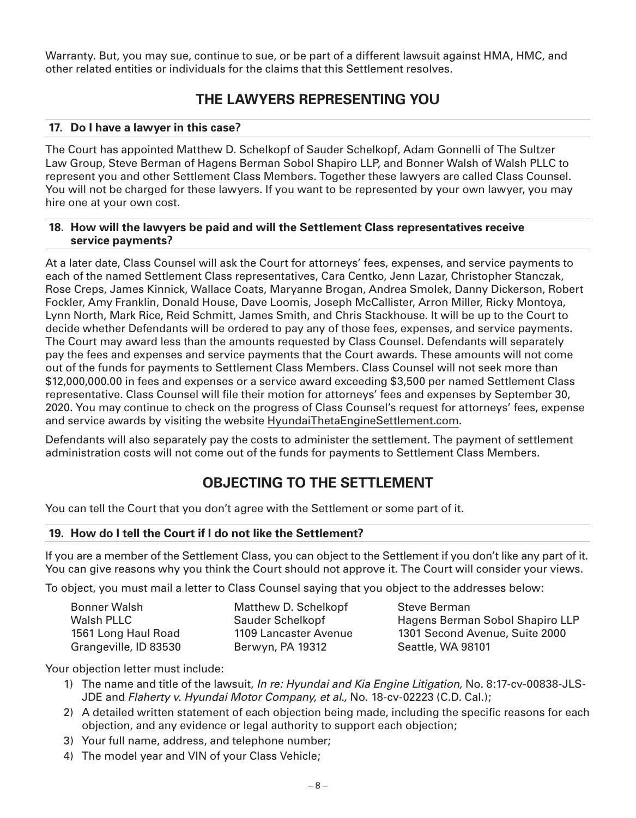Warranty. But, you may sue, continue to sue, or be part of a different lawsuit against HMA, HMC, and other related entities or individuals for the claims that this Settlement resolves.

## **THE LAWYERS REPRESENTING YOU**

#### **17. Do I have a lawyer in this case?**

The Court has appointed Matthew D. Schelkopf of Sauder Schelkopf, Adam Gonnelli of The Sultzer Law Group, Steve Berman of Hagens Berman Sobol Shapiro LLP, and Bonner Walsh of Walsh PLLC to represent you and other Settlement Class Members. Together these lawyers are called Class Counsel. You will not be charged for these lawyers. If you want to be represented by your own lawyer, you may hire one at your own cost.

#### **18. How will the lawyers be paid and will the Settlement Class representatives receive service payments?**

At a later date, Class Counsel will ask the Court for attorneys' fees, expenses, and service payments to each of the named Settlement Class representatives, Cara Centko, Jenn Lazar, Christopher Stanczak, Rose Creps, James Kinnick, Wallace Coats, Maryanne Brogan, Andrea Smolek, Danny Dickerson, Robert Fockler, Amy Franklin, Donald House, Dave Loomis, Joseph McCallister, Arron Miller, Ricky Montoya, Lynn North, Mark Rice, Reid Schmitt, James Smith, and Chris Stackhouse. It will be up to the Court to decide whether Defendants will be ordered to pay any of those fees, expenses, and service payments. The Court may award less than the amounts requested by Class Counsel. Defendants will separately pay the fees and expenses and service payments that the Court awards. These amounts will not come out of the funds for payments to Settlement Class Members. Class Counsel will not seek more than \$12,000,000.00 in fees and expenses or a service award exceeding \$3,500 per named Settlement Class representative. Class Counsel will file their motion for attorneys' fees and expenses by September 30, 2020. You may continue to check on the progress of Class Counsel's request for attorneys' fees, expense and service awards by visiting the website HyundaiThetaEngineSettlement.com.

Defendants will also separately pay the costs to administer the settlement. The payment of settlement administration costs will not come out of the funds for payments to Settlement Class Members.

## **OBJECTING TO THE SETTLEMENT**

You can tell the Court that you don't agree with the Settlement or some part of it.

#### **19. How do I tell the Court if I do not like the Settlement?**

If you are a member of the Settlement Class, you can object to the Settlement if you don't like any part of it. You can give reasons why you think the Court should not approve it. The Court will consider your views.

To object, you must mail a letter to Class Counsel saying that you object to the addresses below:

| <b>Bonner Walsh</b>   | Matthew D. Schelkopf    |
|-----------------------|-------------------------|
| Walsh PLLC            | <b>Sauder Schelkopf</b> |
| 1561 Long Haul Road   | 1109 Lancaster Avenue   |
| Grangeville, ID 83530 | Berwyn, PA 19312        |

Steve Berman Hagens Berman Sobol Shapiro LLP 1301 Second Avenue, Suite 2000 Seattle, WA 98101

Your objection letter must include:

- 1) The name and title of the lawsuit, *In re: Hyundai and Kia Engine Litigation,* No. 8:17-cv-00838-JLS-JDE and *Flaherty v. Hyundai Motor Company, et al.,* No. 18-cv-02223 (C.D. Cal.);
- 2) A detailed written statement of each objection being made, including the specific reasons for each objection, and any evidence or legal authority to support each objection;
- 3) Your full name, address, and telephone number;
- 4) The model year and VIN of your Class Vehicle;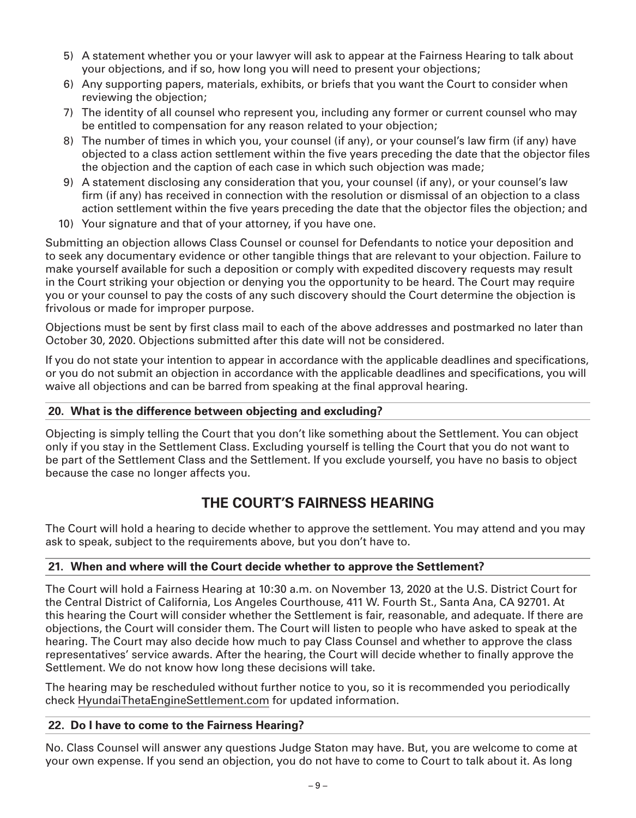- 5) A statement whether you or your lawyer will ask to appear at the Fairness Hearing to talk about your objections, and if so, how long you will need to present your objections;
- 6) Any supporting papers, materials, exhibits, or briefs that you want the Court to consider when reviewing the objection;
- 7) The identity of all counsel who represent you, including any former or current counsel who may be entitled to compensation for any reason related to your objection;
- 8) The number of times in which you, your counsel (if any), or your counsel's law firm (if any) have objected to a class action settlement within the five years preceding the date that the objector files the objection and the caption of each case in which such objection was made;
- 9) A statement disclosing any consideration that you, your counsel (if any), or your counsel's law firm (if any) has received in connection with the resolution or dismissal of an objection to a class action settlement within the five years preceding the date that the objector files the objection; and
- 10) Your signature and that of your attorney, if you have one.

Submitting an objection allows Class Counsel or counsel for Defendants to notice your deposition and to seek any documentary evidence or other tangible things that are relevant to your objection. Failure to make yourself available for such a deposition or comply with expedited discovery requests may result in the Court striking your objection or denying you the opportunity to be heard. The Court may require you or your counsel to pay the costs of any such discovery should the Court determine the objection is frivolous or made for improper purpose.

Objections must be sent by first class mail to each of the above addresses and postmarked no later than October 30, 2020. Objections submitted after this date will not be considered.

If you do not state your intention to appear in accordance with the applicable deadlines and specifications, or you do not submit an objection in accordance with the applicable deadlines and specifications, you will waive all objections and can be barred from speaking at the final approval hearing.

#### **20. What is the difference between objecting and excluding?**

Objecting is simply telling the Court that you don't like something about the Settlement. You can object only if you stay in the Settlement Class. Excluding yourself is telling the Court that you do not want to be part of the Settlement Class and the Settlement. If you exclude yourself, you have no basis to object because the case no longer affects you.

## **THE COURT'S FAIRNESS HEARING**

The Court will hold a hearing to decide whether to approve the settlement. You may attend and you may ask to speak, subject to the requirements above, but you don't have to.

#### **21. When and where will the Court decide whether to approve the Settlement?**

The Court will hold a Fairness Hearing at 10:30 a.m. on November 13, 2020 at the U.S. District Court for the Central District of California, Los Angeles Courthouse, 411 W. Fourth St., Santa Ana, CA 92701. At this hearing the Court will consider whether the Settlement is fair, reasonable, and adequate. If there are objections, the Court will consider them. The Court will listen to people who have asked to speak at the hearing. The Court may also decide how much to pay Class Counsel and whether to approve the class representatives' service awards. After the hearing, the Court will decide whether to finally approve the Settlement. We do not know how long these decisions will take.

The hearing may be rescheduled without further notice to you, so it is recommended you periodically check HyundaiThetaEngineSettlement.com for updated information.

#### **22. Do I have to come to the Fairness Hearing?**

No. Class Counsel will answer any questions Judge Staton may have. But, you are welcome to come at your own expense. If you send an objection, you do not have to come to Court to talk about it. As long